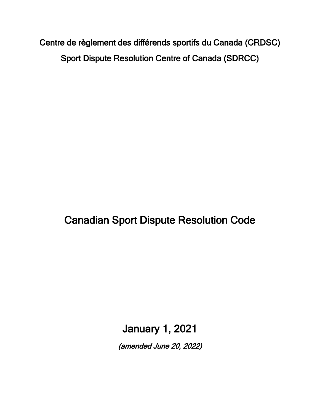Centre de règlement des différends sportifs du Canada (CRDSC) Sport Dispute Resolution Centre of Canada (SDRCC)

Canadian Sport Dispute Resolution Code

January 1, 2021

(amended June 20, 2022)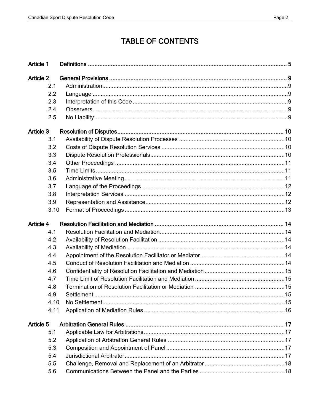# **TABLE OF CONTENTS**

| <b>Article 1</b> |  |
|------------------|--|
| <b>Article 2</b> |  |
| 2.1              |  |
| 2.2              |  |
| 2.3              |  |
| 2.4              |  |
| 2.5              |  |
| Article 3        |  |
| 3.1              |  |
| 3.2              |  |
| 3.3              |  |
| 3.4              |  |
| 3.5              |  |
| 3.6              |  |
| 3.7              |  |
| 3.8              |  |
| 3.9              |  |
| 3.10             |  |
| Article 4        |  |
| 4.1              |  |
| 4.2              |  |
| 4.3              |  |
| 4.4              |  |
| 4.5              |  |
| 4.6              |  |
| 4.7              |  |
| 4.8              |  |
| 4.9              |  |
| 4.10             |  |
| 4.11             |  |
| Article 5        |  |
| 5.1              |  |
| 5.2              |  |
| 5.3              |  |
| 5.4              |  |
| 5.5              |  |
| 5.6              |  |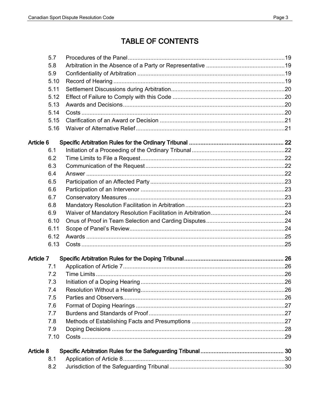# **TABLE OF CONTENTS**

| 5.7              |  |
|------------------|--|
| 5.8              |  |
| 5.9              |  |
| 5.10             |  |
| 5.11             |  |
| 5.12             |  |
| 5.13             |  |
| 5.14             |  |
| 5.15             |  |
| 5.16             |  |
| Article 6        |  |
| 6.1              |  |
| 6.2              |  |
| 6.3              |  |
| 6.4              |  |
| 6.5              |  |
| 6.6              |  |
| 6.7              |  |
| 6.8              |  |
| 6.9              |  |
| 6.10             |  |
| 6.11             |  |
| 6.12             |  |
| 6.13             |  |
| Article 7        |  |
| 7.1              |  |
| 7.2              |  |
| 7.3              |  |
| 7.4              |  |
| 7.5              |  |
| 7.6              |  |
| 7.7              |  |
| 7.8              |  |
| 7.9              |  |
| 7.10             |  |
| <b>Article 8</b> |  |
| 8.1              |  |
| 8.2              |  |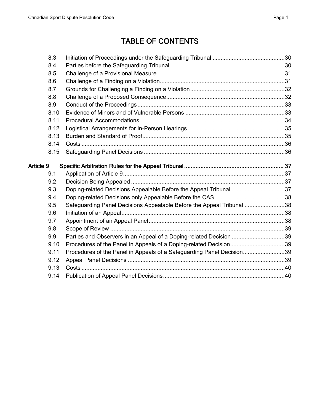# TABLE OF CONTENTS

|           | 8.3  |                                                                       |  |
|-----------|------|-----------------------------------------------------------------------|--|
|           | 8.4  |                                                                       |  |
|           | 8.5  |                                                                       |  |
|           | 8.6  |                                                                       |  |
|           | 8.7  |                                                                       |  |
|           | 8.8  |                                                                       |  |
|           | 8.9  |                                                                       |  |
|           | 8.10 |                                                                       |  |
|           | 8.11 |                                                                       |  |
|           | 8.12 |                                                                       |  |
|           | 8.13 |                                                                       |  |
|           | 8.14 |                                                                       |  |
|           | 8.15 |                                                                       |  |
| Article 9 |      |                                                                       |  |
|           | 9.1  |                                                                       |  |
|           | 9.2  |                                                                       |  |
|           | 9.3  | Doping-related Decisions Appealable Before the Appeal Tribunal 37     |  |
|           | 9.4  |                                                                       |  |
|           | 9.5  | Safeguarding Panel Decisions Appealable Before the Appeal Tribunal 38 |  |
|           | 9.6  |                                                                       |  |
|           | 9.7  |                                                                       |  |
|           | 9.8  |                                                                       |  |
|           | 9.9  | Parties and Observers in an Appeal of a Doping-related Decision 39    |  |
|           | 9.10 | Procedures of the Panel in Appeals of a Doping-related Decision39     |  |
|           | 9.11 | Procedures of the Panel in Appeals of a Safeguarding Panel Decision39 |  |
|           | 9.12 |                                                                       |  |
|           | 9.13 |                                                                       |  |
|           | 9.14 |                                                                       |  |
|           |      |                                                                       |  |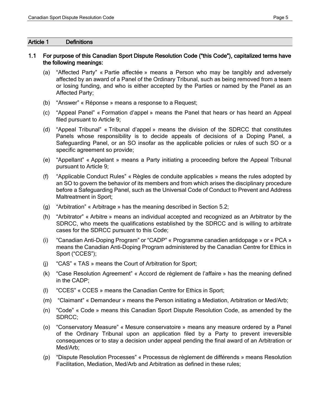#### <span id="page-4-0"></span>Article 1 Definitions

## 1.1 For purpose of this Canadian Sport Dispute Resolution Code ("this Code"), capitalized terms have the following meanings:

- (a) "Affected Party" « Partie affectée » means a Person who may be tangibly and adversely affected by an award of a Panel of the Ordinary Tribunal, such as being removed from a team or losing funding, and who is either accepted by the Parties or named by the Panel as an Affected Party;
- (b) "Answer" « Réponse » means a response to a Request;
- (c) "Appeal Panel" « Formation d'appel » means the Panel that hears or has heard an Appeal filed pursuant to Article 9;
- (d) "Appeal Tribunal" « Tribunal d'appel » means the division of the SDRCC that constitutes Panels whose responsibility is to decide appeals of decisions of a Doping Panel, a Safeguarding Panel, or an SO insofar as the applicable policies or rules of such SO or a specific agreement so provide;
- (e) "Appellant" « Appelant » means a Party initiating a proceeding before the Appeal Tribunal pursuant to Article 9;
- (f) "Applicable Conduct Rules" « Règles de conduite applicables » means the rules adopted by an SO to govern the behavior of its members and from which arises the disciplinary procedure before a Safeguarding Panel, such as the Universal Code of Conduct to Prevent and Address Maltreatment in Sport;
- (g) "Arbitration" « Arbitrage » has the meaning described in Section 5.2;
- (h) "Arbitrator" « Arbitre » means an individual accepted and recognized as an Arbitrator by the SDRCC, who meets the qualifications established by the SDRCC and is willing to arbitrate cases for the SDRCC pursuant to this Code;
- (i) "Canadian Anti-Doping Program" or "CADP" « Programme canadien antidopage » or « PCA » means the Canadian Anti-Doping Program administered by the Canadian Centre for Ethics in Sport ("CCES");
- (j) "CAS" « TAS » means the Court of Arbitration for Sport;
- (k) "Case Resolution Agreement" « Accord de règlement de l'affaire » has the meaning defined in the CADP;
- (l) "CCES" « CCES » means the Canadian Centre for Ethics in Sport;
- (m) "Claimant" « Demandeur » means the Person initiating a Mediation, Arbitration or Med/Arb;
- (n) "Code" « Code » means this Canadian Sport Dispute Resolution Code, as amended by the SDRCC;
- (o) "Conservatory Measure" « Mesure conservatoire » means any measure ordered by a Panel of the Ordinary Tribunal upon an application filed by a Party to prevent irreversible consequences or to stay a decision under appeal pending the final award of an Arbitration or Med/Arb;
- (p) "Dispute Resolution Processes" « Processus de règlement de différends » means Resolution Facilitation, Mediation, Med/Arb and Arbitration as defined in these rules;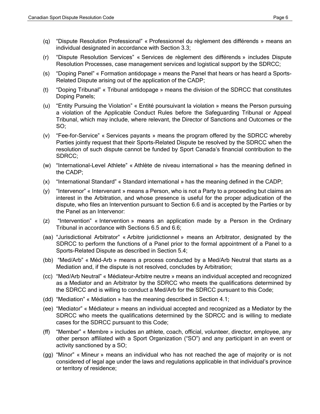- (q) "Dispute Resolution Professional" « Professionnel du règlement des différends » means an individual designated in accordance with Section 3.3;
- (r) "Dispute Resolution Services" « Services de règlement des différends » includes Dispute Resolution Processes, case management services and logistical support by the SDRCC;
- (s) "Doping Panel" « Formation antidopage » means the Panel that hears or has heard a Sports-Related Dispute arising out of the application of the CADP;
- (t) "Doping Tribunal" « Tribunal antidopage » means the division of the SDRCC that constitutes Doping Panels;
- (u) "Entity Pursuing the Violation" « Entité poursuivant la violation » means the Person pursuing a violation of the Applicable Conduct Rules before the Safeguarding Tribunal or Appeal Tribunal, which may include, where relevant, the Director of Sanctions and Outcomes or the SO;
- (v) "Fee-for-Service" « Services payants » means the program offered by the SDRCC whereby Parties jointly request that their Sports-Related Dispute be resolved by the SDRCC when the resolution of such dispute cannot be funded by Sport Canada's financial contribution to the SDRCC;
- (w) "International-Level Athlete" « Athlète de niveau international » has the meaning defined in the CADP;
- (x) "International Standard" « Standard international » has the meaning defined in the CADP;
- (y) "Intervenor" « Intervenant » means a Person, who is not a Party to a proceeding but claims an interest in the Arbitration, and whose presence is useful for the proper adjudication of the dispute, who files an Intervention pursuant to Section 6.6 and is accepted by the Parties or by the Panel as an Intervenor:
- (z) "Intervention" « Intervention » means an application made by a Person in the Ordinary Tribunal in accordance with Sections 6.5 and 6.6;
- (aa) "Jurisdictional Arbitrator" « Arbitre juridictionnel » means an Arbitrator, designated by the SDRCC to perform the functions of a Panel prior to the formal appointment of a Panel to a Sports-Related Dispute as described in Section 5.4;
- (bb) "Med/Arb" « Méd-Arb » means a process conducted by a Med/Arb Neutral that starts as a Mediation and, if the dispute is not resolved, concludes by Arbitration;
- (cc) "Med/Arb Neutral" « Médiateur-Arbitre neutre » means an individual accepted and recognized as a Mediator and an Arbitrator by the SDRCC who meets the qualifications determined by the SDRCC and is willing to conduct a Med/Arb for the SDRCC pursuant to this Code;
- (dd) "Mediation" « Médiation » has the meaning described in Section 4.1;
- (ee) "Mediator" « Médiateur » means an individual accepted and recognized as a Mediator by the SDRCC who meets the qualifications determined by the SDRCC and is willing to mediate cases for the SDRCC pursuant to this Code;
- (ff) "Member" « Membre » includes an athlete, coach, official, volunteer, director, employee, any other person affiliated with a Sport Organization ("SO") and any participant in an event or activity sanctioned by a SO;
- (gg) "Minor" « Mineur » means an individual who has not reached the age of majority or is not considered of legal age under the laws and regulations applicable in that individual's province or territory of residence;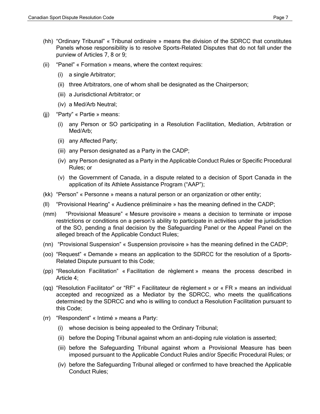- (hh) "Ordinary Tribunal" « Tribunal ordinaire » means the division of the SDRCC that constitutes Panels whose responsibility is to resolve Sports-Related Disputes that do not fall under the purview of Articles 7, 8 or 9;
- (ii) "Panel" « Formation » means, where the context requires:
	- (i) a single Arbitrator;
	- (ii) three Arbitrators, one of whom shall be designated as the Chairperson;
	- (iii) a Jurisdictional Arbitrator; or
	- (iv) a Med/Arb Neutral;
- (jj) "Party" « Partie » means:
	- (i) any Person or SO participating in a Resolution Facilitation, Mediation, Arbitration or Med/Arb;
	- (ii) any Affected Party;
	- (iii) any Person designated as a Party in the CADP;
	- (iv) any Person designated as a Party in the Applicable Conduct Rules or Specific Procedural Rules; or
	- (v) the Government of Canada, in a dispute related to a decision of Sport Canada in the application of its Athlete Assistance Program ("AAP");
- (kk) "Person" « Personne » means a natural person or an organization or other entity;
- (ll) "Provisional Hearing" « Audience préliminaire » has the meaning defined in the CADP;
- (mm) "Provisional Measure" « Mesure provisoire » means a decision to terminate or impose restrictions or conditions on a person's ability to participate in activities under the jurisdiction of the SO, pending a final decision by the Safeguarding Panel or the Appeal Panel on the alleged breach of the Applicable Conduct Rules;
- (nn) "Provisional Suspension" « Suspension provisoire » has the meaning defined in the CADP;
- (oo) "Request" « Demande » means an application to the SDRCC for the resolution of a Sports-Related Dispute pursuant to this Code;
- (pp) "Resolution Facilitation" « Facilitation de règlement » means the process described in Article 4;
- (qq) "Resolution Facilitator" or "RF" « Facilitateur de règlement » or « FR » means an individual accepted and recognized as a Mediator by the SDRCC, who meets the qualifications determined by the SDRCC and who is willing to conduct a Resolution Facilitation pursuant to this Code;
- (rr) "Respondent" « Intimé » means a Party:
	- (i) whose decision is being appealed to the Ordinary Tribunal;
	- (ii) before the Doping Tribunal against whom an anti-doping rule violation is asserted;
	- (iii) before the Safeguarding Tribunal against whom a Provisional Measure has been imposed pursuant to the Applicable Conduct Rules and/or Specific Procedural Rules; or
	- (iv) before the Safeguarding Tribunal alleged or confirmed to have breached the Applicable Conduct Rules;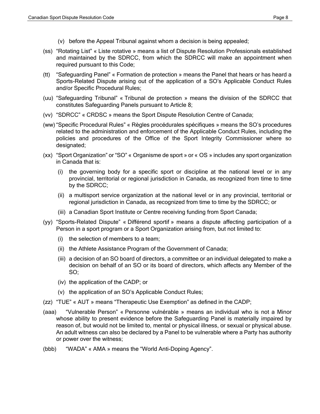- (v) before the Appeal Tribunal against whom a decision is being appealed;
- (ss) "Rotating List" « Liste rotative » means a list of Dispute Resolution Professionals established and maintained by the SDRCC, from which the SDRCC will make an appointment when required pursuant to this Code;
- (tt) "Safeguarding Panel" « Formation de protection » means the Panel that hears or has heard a Sports-Related Dispute arising out of the application of a SO's Applicable Conduct Rules and/or Specific Procedural Rules;
- (uu) "Safeguarding Tribunal" « Tribunal de protection » means the division of the SDRCC that constitutes Safeguarding Panels pursuant to Article 8;
- (vv) "SDRCC" « CRDSC » means the Sport Dispute Resolution Centre of Canada;
- (ww) "Specific Procedural Rules" « Règles procédurales spécifiques » means the SO's procedures related to the administration and enforcement of the Applicable Conduct Rules, including the policies and procedures of the Office of the Sport Integrity Commissioner where so designated;
- (xx) "Sport Organization" or "SO" « Organisme de sport » or « OS » includes any sport organization in Canada that is:
	- (i) the governing body for a specific sport or discipline at the national level or in any provincial, territorial or regional jurisdiction in Canada, as recognized from time to time by the SDRCC;
	- (ii) a multisport service organization at the national level or in any provincial, territorial or regional jurisdiction in Canada, as recognized from time to time by the SDRCC; or
	- (iii) a Canadian Sport Institute or Centre receiving funding from Sport Canada;
- (yy) "Sports-Related Dispute" « Différend sportif » means a dispute affecting participation of a Person in a sport program or a Sport Organization arising from, but not limited to:
	- (i) the selection of members to a team;
	- (ii) the Athlete Assistance Program of the Government of Canada;
	- (iii) a decision of an SO board of directors, a committee or an individual delegated to make a decision on behalf of an SO or its board of directors, which affects any Member of the SO;
	- (iv) the application of the CADP; or
	- (v) the application of an SO's Applicable Conduct Rules;
- (zz) "TUE" « AUT » means "Therapeutic Use Exemption" as defined in the CADP;
- (aaa) "Vulnerable Person" « Personne vulnérable » means an individual who is not a Minor whose ability to present evidence before the Safeguarding Panel is materially impaired by reason of, but would not be limited to, mental or physical illness, or sexual or physical abuse. An adult witness can also be declared by a Panel to be vulnerable where a Party has authority or power over the witness;
- (bbb) "WADA" « AMA » means the "World Anti-Doping Agency".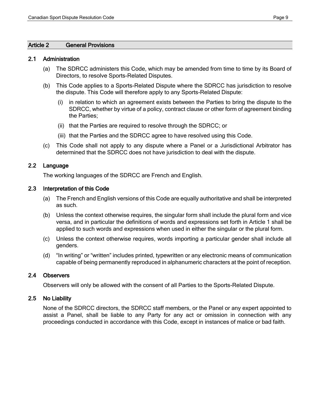#### <span id="page-8-0"></span>Article 2 General Provisions

#### <span id="page-8-1"></span>2.1 Administration

- (a) The SDRCC administers this Code, which may be amended from time to time by its Board of Directors, to resolve Sports-Related Disputes.
- (b) This Code applies to a Sports-Related Dispute where the SDRCC has jurisdiction to resolve the dispute. This Code will therefore apply to any Sports-Related Dispute:
	- (i) in relation to which an agreement exists between the Parties to bring the dispute to the SDRCC, whether by virtue of a policy, contract clause or other form of agreement binding the Parties;
	- (ii) that the Parties are required to resolve through the SDRCC; or
	- (iii) that the Parties and the SDRCC agree to have resolved using this Code.
- (c) This Code shall not apply to any dispute where a Panel or a Jurisdictional Arbitrator has determined that the SDRCC does not have jurisdiction to deal with the dispute.

#### <span id="page-8-2"></span>2.2 Language

The working languages of the SDRCC are French and English.

#### <span id="page-8-3"></span>2.3 Interpretation of this Code

- (a) The French and English versions of this Code are equally authoritative and shall be interpreted as such.
- (b) Unless the context otherwise requires, the singular form shall include the plural form and vice versa, and in particular the definitions of words and expressions set forth in Article 1 shall be applied to such words and expressions when used in either the singular or the plural form.
- (c) Unless the context otherwise requires, words importing a particular gender shall include all genders.
- (d) "In writing" or "written" includes printed, typewritten or any electronic means of communication capable of being permanently reproduced in alphanumeric characters at the point of reception.

## <span id="page-8-4"></span>2.4 Observers

Observers will only be allowed with the consent of all Parties to the Sports-Related Dispute.

#### <span id="page-8-5"></span>2.5 No Liability

None of the SDRCC directors, the SDRCC staff members, or the Panel or any expert appointed to assist a Panel, shall be liable to any Party for any act or omission in connection with any proceedings conducted in accordance with this Code, except in instances of malice or bad faith.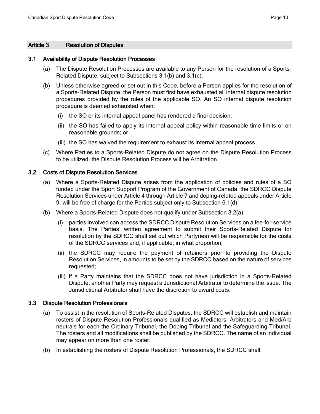#### <span id="page-9-0"></span>Article 3 Resolution of Disputes

#### <span id="page-9-1"></span>3.1 Availability of Dispute Resolution Processes

- (a) The Dispute Resolution Processes are available to any Person for the resolution of a Sports-Related Dispute, subject to Subsections 3.1(b) and 3.1(c).
- (b) Unless otherwise agreed or set out in this Code, before a Person applies for the resolution of a Sports-Related Dispute, the Person must first have exhausted all internal dispute resolution procedures provided by the rules of the applicable SO. An SO internal dispute resolution procedure is deemed exhausted when:
	- (i) the SO or its internal appeal panel has rendered a final decision;
	- (ii) the SO has failed to apply its internal appeal policy within reasonable time limits or on reasonable grounds; or
	- (iii) the SO has waived the requirement to exhaust its internal appeal process.
- (c) Where Parties to a Sports-Related Dispute do not agree on the Dispute Resolution Process to be utilized, the Dispute Resolution Process will be Arbitration.

#### <span id="page-9-2"></span>3.2 Costs of Dispute Resolution Services

- (a) Where a Sports-Related Dispute arises from the application of policies and rules of a SO funded under the Sport Support Program of the Government of Canada, the SDRCC Dispute Resolution Services under Article 4 through Article 7 and doping-related appeals under Article 9, will be free of charge for the Parties subject only to Subsection 6.1(d).
- (b) Where a Sports-Related Dispute does not qualify under Subsection 3.2(a):
	- (i) parties involved can access the SDRCC Dispute Resolution Services on a fee-for-service basis. The Parties' written agreement to submit their Sports-Related Dispute for resolution by the SDRCC shall set out which Party(ies) will be responsible for the costs of the SDRCC services and, if applicable, in what proportion;
	- (ii) the SDRCC may require the payment of retainers prior to providing the Dispute Resolution Services, in amounts to be set by the SDRCC based on the nature of services requested;
	- (iii) if a Party maintains that the SDRCC does not have jurisdiction in a Sports-Related Dispute, another Party may request a Jurisdictional Arbitrator to determine the issue. The Jurisdictional Arbitrator shall have the discretion to award costs.

#### <span id="page-9-3"></span>3.3 Dispute Resolution Professionals

- (a) To assist in the resolution of Sports-Related Disputes, the SDRCC will establish and maintain rosters of Dispute Resolution Professionals qualified as Mediators, Arbitrators and Med/Arb neutrals for each the Ordinary Tribunal, the Doping Tribunal and the Safeguarding Tribunal. The rosters and all modifications shall be published by the SDRCC. The name of an individual may appear on more than one roster.
- (b) In establishing the rosters of Dispute Resolution Professionals, the SDRCC shall: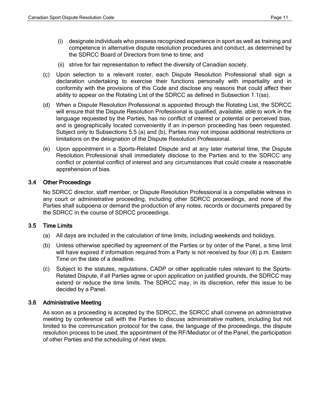- (i) designate individuals who possess recognized experience in sport as well as training and competence in alternative dispute resolution procedures and conduct, as determined by the SDRCC Board of Directors from time to time; and
- (ii) strive for fair representation to reflect the diversity of Canadian society.
- (c) Upon selection to a relevant roster, each Dispute Resolution Professional shall sign a declaration undertaking to exercise their functions personally with impartiality and in conformity with the provisions of this Code and disclose any reasons that could affect their ability to appear on the Rotating List of the SDRCC as defined in Subsection 1.1(ss).
- (d) When a Dispute Resolution Professional is appointed through the Rotating List, the SDRCC will ensure that the Dispute Resolution Professional is qualified, available, able to work in the language requested by the Parties, has no conflict of interest or potential or perceived bias, and is geographically located conveniently if an in-person proceeding has been requested. Subject only to Subsections 5.5 (a) and (b), Parties may not impose additional restrictions or limitations on the designation of the Dispute Resolution Professional.
- (e) Upon appointment in a Sports-Related Dispute and at any later material time, the Dispute Resolution Professional shall immediately disclose to the Parties and to the SDRCC any conflict or potential conflict of interest and any circumstances that could create a reasonable apprehension of bias.

# <span id="page-10-0"></span>3.4 Other Proceedings

No SDRCC director, staff member, or Dispute Resolution Professional is a compellable witness in any court or administrative proceeding, including other SDRCC proceedings, and none of the Parties shall subpoena or demand the production of any notes, records or documents prepared by the SDRCC in the course of SDRCC proceedings.

# <span id="page-10-1"></span>3.5 Time Limits

- (a) All days are included in the calculation of time limits, including weekends and holidays.
- (b) Unless otherwise specified by agreement of the Parties or by order of the Panel, a time limit will have expired if information required from a Party is not received by four (4) p.m. Eastern Time on the date of a deadline.
- (c) Subject to the statutes, regulations, CADP or other applicable rules relevant to the Sports-Related Dispute, if all Parties agree or upon application on justified grounds, the SDRCC may extend or reduce the time limits. The SDRCC may, in its discretion, refer this issue to be decided by a Panel.

# <span id="page-10-2"></span>3.6 Administrative Meeting

As soon as a proceeding is accepted by the SDRCC, the SDRCC shall convene an administrative meeting by conference call with the Parties to discuss administrative matters, including but not limited to the communication protocol for the case, the language of the proceedings, the dispute resolution process to be used, the appointment of the RF/Mediator or of the Panel, the participation of other Parties and the scheduling of next steps.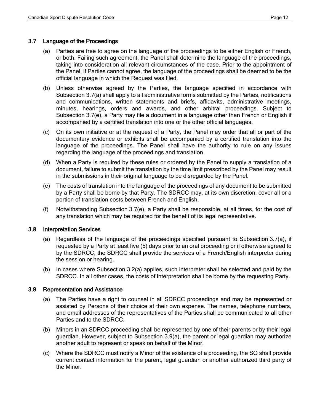## <span id="page-11-0"></span>3.7 Language of the Proceedings

- (a) Parties are free to agree on the language of the proceedings to be either English or French, or both. Failing such agreement, the Panel shall determine the language of the proceedings, taking into consideration all relevant circumstances of the case. Prior to the appointment of the Panel, if Parties cannot agree, the language of the proceedings shall be deemed to be the official language in which the Request was filed.
- (b) Unless otherwise agreed by the Parties, the language specified in accordance with Subsection 3.7(a) shall apply to all administrative forms submitted by the Parties, notifications and communications, written statements and briefs, affidavits, administrative meetings, minutes, hearings, orders and awards, and other arbitral proceedings. Subject to Subsection 3.7(e), a Party may file a document in a language other than French or English if accompanied by a certified translation into one or the other official languages.
- (c) On its own initiative or at the request of a Party, the Panel may order that all or part of the documentary evidence or exhibits shall be accompanied by a certified translation into the language of the proceedings. The Panel shall have the authority to rule on any issues regarding the language of the proceedings and translation.
- (d) When a Party is required by these rules or ordered by the Panel to supply a translation of a document, failure to submit the translation by the time limit prescribed by the Panel may result in the submissions in their original language to be disregarded by the Panel.
- (e) The costs of translation into the language of the proceedings of any document to be submitted by a Party shall be borne by that Party. The SDRCC may, at its own discretion, cover all or a portion of translation costs between French and English.
- (f) Notwithstanding Subsection 3.7(e), a Party shall be responsible, at all times, for the cost of any translation which may be required for the benefit of its legal representative.

## <span id="page-11-1"></span>3.8 Interpretation Services

- (a) Regardless of the language of the proceedings specified pursuant to Subsection 3.7(a), if requested by a Party at least five (5) days prior to an oral proceeding or if otherwise agreed to by the SDRCC, the SDRCC shall provide the services of a French/English interpreter during the session or hearing.
- (b) In cases where Subsection 3.2(a) applies, such interpreter shall be selected and paid by the SDRCC. In all other cases, the costs of interpretation shall be borne by the requesting Party.

## <span id="page-11-2"></span>3.9 Representation and Assistance

- (a) The Parties have a right to counsel in all SDRCC proceedings and may be represented or assisted by Persons of their choice at their own expense. The names, telephone numbers, and email addresses of the representatives of the Parties shall be communicated to all other Parties and to the SDRCC.
- (b) Minors in an SDRCC proceeding shall be represented by one of their parents or by their legal guardian. However, subject to Subsection 3.9(a), the parent or legal guardian may authorize another adult to represent or speak on behalf of the Minor.
- (c) Where the SDRCC must notify a Minor of the existence of a proceeding, the SO shall provide current contact information for the parent, legal guardian or another authorized third party of the Minor.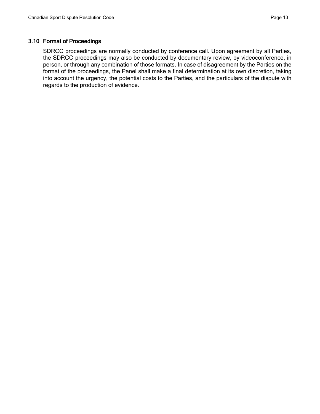## <span id="page-12-0"></span>3.10 Format of Proceedings

SDRCC proceedings are normally conducted by conference call. Upon agreement by all Parties, the SDRCC proceedings may also be conducted by documentary review, by videoconference, in person, or through any combination of those formats. In case of disagreement by the Parties on the format of the proceedings, the Panel shall make a final determination at its own discretion, taking into account the urgency, the potential costs to the Parties, and the particulars of the dispute with regards to the production of evidence.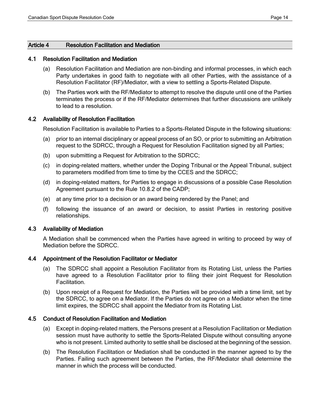## <span id="page-13-0"></span>Article 4 Resolution Facilitation and Mediation

#### <span id="page-13-1"></span>4.1 Resolution Facilitation and Mediation

- (a) Resolution Facilitation and Mediation are non-binding and informal processes, in which each Party undertakes in good faith to negotiate with all other Parties, with the assistance of a Resolution Facilitator (RF)/Mediator, with a view to settling a Sports-Related Dispute.
- (b) The Parties work with the RF/Mediator to attempt to resolve the dispute until one of the Parties terminates the process or if the RF/Mediator determines that further discussions are unlikely to lead to a resolution.

## <span id="page-13-2"></span>4.2 Availability of Resolution Facilitation

Resolution Facilitation is available to Parties to a Sports-Related Dispute in the following situations:

- (a) prior to an internal disciplinary or appeal process of an SO, or prior to submitting an Arbitration request to the SDRCC, through a Request for Resolution Facilitation signed by all Parties;
- (b) upon submitting a Request for Arbitration to the SDRCC;
- (c) in doping-related matters, whether under the Doping Tribunal or the Appeal Tribunal, subject to parameters modified from time to time by the CCES and the SDRCC;
- (d) in doping-related matters, for Parties to engage in discussions of a possible Case Resolution Agreement pursuant to the Rule 10.8.2 of the CADP;
- (e) at any time prior to a decision or an award being rendered by the Panel; and
- (f) following the issuance of an award or decision, to assist Parties in restoring positive relationships.

## <span id="page-13-3"></span>4.3 Availability of Mediation

A Mediation shall be commenced when the Parties have agreed in writing to proceed by way of Mediation before the SDRCC.

## <span id="page-13-4"></span>4.4 Appointment of the Resolution Facilitator or Mediator

- (a) The SDRCC shall appoint a Resolution Facilitator from its Rotating List, unless the Parties have agreed to a Resolution Facilitator prior to filing their joint Request for Resolution Facilitation.
- (b) Upon receipt of a Request for Mediation, the Parties will be provided with a time limit, set by the SDRCC, to agree on a Mediator. If the Parties do not agree on a Mediator when the time limit expires, the SDRCC shall appoint the Mediator from its Rotating List.

## <span id="page-13-5"></span>4.5 Conduct of Resolution Facilitation and Mediation

- (a) Except in doping-related matters, the Persons present at a Resolution Facilitation or Mediation session must have authority to settle the Sports-Related Dispute without consulting anyone who is not present. Limited authority to settle shall be disclosed at the beginning of the session.
- (b) The Resolution Facilitation or Mediation shall be conducted in the manner agreed to by the Parties. Failing such agreement between the Parties, the RF/Mediator shall determine the manner in which the process will be conducted.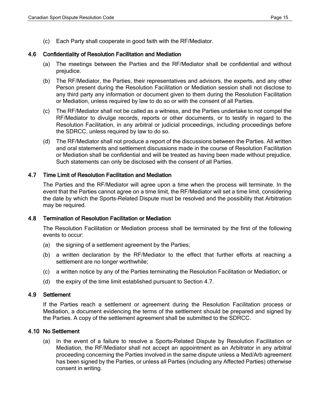(c) Each Party shall cooperate in good faith with the RF/Mediator.

# <span id="page-14-0"></span>4.6 Confidentiality of Resolution Facilitation and Mediation

- (a) The meetings between the Parties and the RF/Mediator shall be confidential and without prejudice.
- (b) The RF/Mediator, the Parties, their representatives and advisors, the experts, and any other Person present during the Resolution Facilitation or Mediation session shall not disclose to any third party any information or document given to them during the Resolution Facilitation or Mediation, unless required by law to do so or with the consent of all Parties.
- (c) The RF/Mediator shall not be called as a witness, and the Parties undertake to not compel the RF/Mediator to divulge records, reports or other documents, or to testify in regard to the Resolution Facilitation, in any arbitral or judicial proceedings, including proceedings before the SDRCC, unless required by law to do so.
- (d) The RF/Mediator shall not produce a report of the discussions between the Parties. All written and oral statements and settlement discussions made in the course of Resolution Facilitation or Mediation shall be confidential and will be treated as having been made without prejudice. Such statements can only be disclosed with the consent of all Parties.

# <span id="page-14-1"></span>4.7 Time Limit of Resolution Facilitation and Mediation

The Parties and the RF/Mediator will agree upon a time when the process will terminate. In the event that the Parties cannot agree on a time limit, the RF/Mediator will set a time limit, considering the date by which the Sports-Related Dispute must be resolved and the possibility that Arbitration may be required.

# <span id="page-14-2"></span>4.8 Termination of Resolution Facilitation or Mediation

The Resolution Facilitation or Mediation process shall be terminated by the first of the following events to occur:

- (a) the signing of a settlement agreement by the Parties;
- (b) a written declaration by the RF/Mediator to the effect that further efforts at reaching a settlement are no longer worthwhile;
- (c) a written notice by any of the Parties terminating the Resolution Facilitation or Mediation; or
- (d) the expiry of the time limit established pursuant to Section 4.7.

# <span id="page-14-3"></span>4.9 Settlement

If the Parties reach a settlement or agreement during the Resolution Facilitation process or Mediation, a document evidencing the terms of the settlement should be prepared and signed by the Parties. A copy of the settlement agreement shall be submitted to the SDRCC.

# <span id="page-14-4"></span>4.10 No Settlement

(a) In the event of a failure to resolve a Sports-Related Dispute by Resolution Facilitation or Mediation, the RF/Mediator shall not accept an appointment as an Arbitrator in any arbitral proceeding concerning the Parties involved in the same dispute unless a Med/Arb agreement has been signed by the Parties, or unless all Parties (including any Affected Parties) otherwise consent in writing.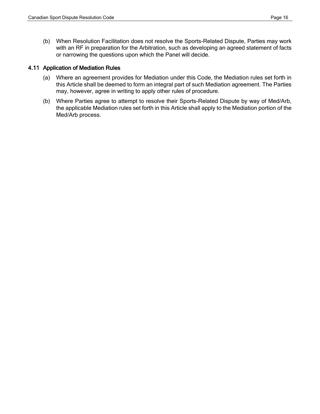(b) When Resolution Facilitation does not resolve the Sports-Related Dispute, Parties may work with an RF in preparation for the Arbitration, such as developing an agreed statement of facts or narrowing the questions upon which the Panel will decide.

## <span id="page-15-0"></span>4.11 Application of Mediation Rules

- (a) Where an agreement provides for Mediation under this Code, the Mediation rules set forth in this Article shall be deemed to form an integral part of such Mediation agreement. The Parties may, however, agree in writing to apply other rules of procedure.
- (b) Where Parties agree to attempt to resolve their Sports-Related Dispute by way of Med/Arb, the applicable Mediation rules set forth in this Article shall apply to the Mediation portion of the Med/Arb process.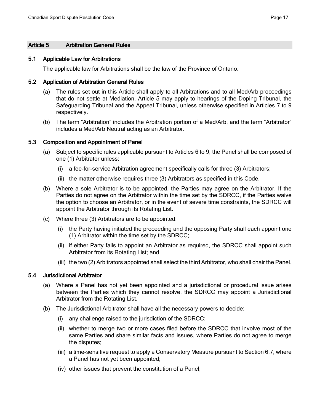## <span id="page-16-0"></span>Article 5 Arbitration General Rules

#### <span id="page-16-1"></span>5.1 Applicable Law for Arbitrations

The applicable law for Arbitrations shall be the law of the Province of Ontario.

#### <span id="page-16-2"></span>5.2 Application of Arbitration General Rules

- (a) The rules set out in this Article shall apply to all Arbitrations and to all Med/Arb proceedings that do not settle at Mediation. Article 5 may apply to hearings of the Doping Tribunal, the Safeguarding Tribunal and the Appeal Tribunal, unless otherwise specified in Articles 7 to 9 respectively.
- (b) The term "Arbitration" includes the Arbitration portion of a Med/Arb, and the term "Arbitrator" includes a Med/Arb Neutral acting as an Arbitrator.

#### <span id="page-16-3"></span>5.3 Composition and Appointment of Panel

- (a) Subject to specific rules applicable pursuant to Articles 6 to 9, the Panel shall be composed of one (1) Arbitrator unless:
	- (i) a fee-for-service Arbitration agreement specifically calls for three (3) Arbitrators;
	- (ii) the matter otherwise requires three (3) Arbitrators as specified in this Code.
- (b) Where a sole Arbitrator is to be appointed, the Parties may agree on the Arbitrator. If the Parties do not agree on the Arbitrator within the time set by the SDRCC, if the Parties waive the option to choose an Arbitrator, or in the event of severe time constraints, the SDRCC will appoint the Arbitrator through its Rotating List.
- (c) Where three (3) Arbitrators are to be appointed:
	- (i) the Party having initiated the proceeding and the opposing Party shall each appoint one (1) Arbitrator within the time set by the SDRCC;
	- (ii) if either Party fails to appoint an Arbitrator as required, the SDRCC shall appoint such Arbitrator from its Rotating List; and
	- (iii) the two (2) Arbitrators appointed shall select the third Arbitrator, who shall chair the Panel.

## <span id="page-16-4"></span>5.4 Jurisdictional Arbitrator

- (a) Where a Panel has not yet been appointed and a jurisdictional or procedural issue arises between the Parties which they cannot resolve, the SDRCC may appoint a Jurisdictional Arbitrator from the Rotating List.
- (b) The Jurisdictional Arbitrator shall have all the necessary powers to decide:
	- (i) any challenge raised to the jurisdiction of the SDRCC;
	- (ii) whether to merge two or more cases filed before the SDRCC that involve most of the same Parties and share similar facts and issues, where Parties do not agree to merge the disputes;
	- (iii) a time-sensitive request to apply a Conservatory Measure pursuant to Section 6.7, where a Panel has not yet been appointed;
	- (iv) other issues that prevent the constitution of a Panel;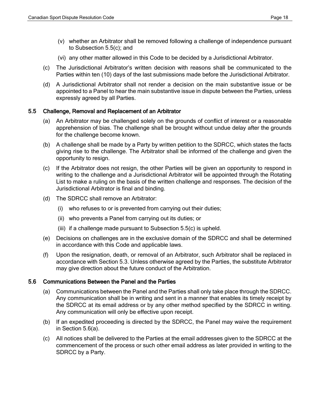- (v) whether an Arbitrator shall be removed following a challenge of independence pursuant to Subsection 5.5(c); and
- (vi) any other matter allowed in this Code to be decided by a Jurisdictional Arbitrator.
- (c) The Jurisdictional Arbitrator's written decision with reasons shall be communicated to the Parties within ten (10) days of the last submissions made before the Jurisdictional Arbitrator.
- (d) A Jurisdictional Arbitrator shall not render a decision on the main substantive issue or be appointed to a Panel to hear the main substantive issue in dispute between the Parties, unless expressly agreed by all Parties.

# <span id="page-17-0"></span>5.5 Challenge, Removal and Replacement of an Arbitrator

- (a) An Arbitrator may be challenged solely on the grounds of conflict of interest or a reasonable apprehension of bias. The challenge shall be brought without undue delay after the grounds for the challenge become known.
- (b) A challenge shall be made by a Party by written petition to the SDRCC, which states the facts giving rise to the challenge. The Arbitrator shall be informed of the challenge and given the opportunity to resign.
- (c) If the Arbitrator does not resign, the other Parties will be given an opportunity to respond in writing to the challenge and a Jurisdictional Arbitrator will be appointed through the Rotating List to make a ruling on the basis of the written challenge and responses. The decision of the Jurisdictional Arbitrator is final and binding.
- (d) The SDRCC shall remove an Arbitrator:
	- (i) who refuses to or is prevented from carrying out their duties;
	- (ii) who prevents a Panel from carrying out its duties; or
	- (iii) if a challenge made pursuant to Subsection 5.5(c) is upheld.
- (e) Decisions on challenges are in the exclusive domain of the SDRCC and shall be determined in accordance with this Code and applicable laws.
- (f) Upon the resignation, death, or removal of an Arbitrator, such Arbitrator shall be replaced in accordance with Section 5.3. Unless otherwise agreed by the Parties, the substitute Arbitrator may give direction about the future conduct of the Arbitration.

# <span id="page-17-1"></span>5.6 Communications Between the Panel and the Parties

- (a) Communications between the Panel and the Parties shall only take place through the SDRCC. Any communication shall be in writing and sent in a manner that enables its timely receipt by the SDRCC at its email address or by any other method specified by the SDRCC in writing. Any communication will only be effective upon receipt.
- (b) If an expedited proceeding is directed by the SDRCC, the Panel may waive the requirement in Section 5.6(a).
- (c) All notices shall be delivered to the Parties at the email addresses given to the SDRCC at the commencement of the process or such other email address as later provided in writing to the SDRCC by a Party.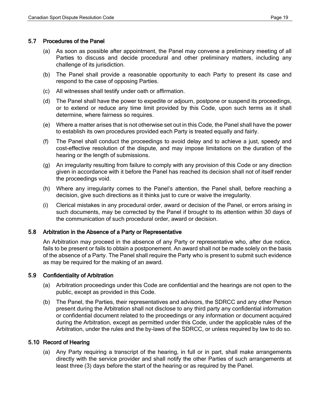## <span id="page-18-0"></span>5.7 Procedures of the Panel

- (a) As soon as possible after appointment, the Panel may convene a preliminary meeting of all Parties to discuss and decide procedural and other preliminary matters, including any challenge of its jurisdiction.
- (b) The Panel shall provide a reasonable opportunity to each Party to present its case and respond to the case of opposing Parties.
- (c) All witnesses shall testify under oath or affirmation.
- (d) The Panel shall have the power to expedite or adjourn, postpone or suspend its proceedings, or to extend or reduce any time limit provided by this Code, upon such terms as it shall determine, where fairness so requires.
- (e) Where a matter arises that is not otherwise set out in this Code, the Panel shall have the power to establish its own procedures provided each Party is treated equally and fairly.
- (f) The Panel shall conduct the proceedings to avoid delay and to achieve a just, speedy and cost-effective resolution of the dispute, and may impose limitations on the duration of the hearing or the length of submissions.
- (g) An irregularity resulting from failure to comply with any provision of this Code or any direction given in accordance with it before the Panel has reached its decision shall not of itself render the proceedings void.
- (h) Where any irregularity comes to the Panel's attention, the Panel shall, before reaching a decision, give such directions as it thinks just to cure or waive the irregularity.
- (i) Clerical mistakes in any procedural order, award or decision of the Panel, or errors arising in such documents, may be corrected by the Panel if brought to its attention within 30 days of the communication of such procedural order, award or decision.

## <span id="page-18-1"></span>5.8 Arbitration in the Absence of a Party or Representative

An Arbitration may proceed in the absence of any Party or representative who, after due notice, fails to be present or fails to obtain a postponement. An award shall not be made solely on the basis of the absence of a Party. The Panel shall require the Party who is present to submit such evidence as may be required for the making of an award.

## <span id="page-18-2"></span>5.9 Confidentiality of Arbitration

- (a) Arbitration proceedings under this Code are confidential and the hearings are not open to the public, except as provided in this Code.
- (b) The Panel, the Parties, their representatives and advisors, the SDRCC and any other Person present during the Arbitration shall not disclose to any third party any confidential information or confidential document related to the proceedings or any information or document acquired during the Arbitration, except as permitted under this Code, under the applicable rules of the Arbitration, under the rules and the by-laws of the SDRCC, or unless required by law to do so.

## <span id="page-18-3"></span>5.10 Record of Hearing

(a) Any Party requiring a transcript of the hearing, in full or in part, shall make arrangements directly with the service provider and shall notify the other Parties of such arrangements at least three (3) days before the start of the hearing or as required by the Panel.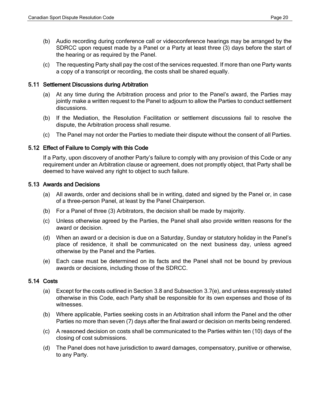- (b) Audio recording during conference call or videoconference hearings may be arranged by the SDRCC upon request made by a Panel or a Party at least three (3) days before the start of the hearing or as required by the Panel.
- (c) The requesting Party shall pay the cost of the services requested. If more than one Party wants a copy of a transcript or recording, the costs shall be shared equally.

## <span id="page-19-0"></span>5.11 Settlement Discussions during Arbitration

- (a) At any time during the Arbitration process and prior to the Panel's award, the Parties may jointly make a written request to the Panel to adjourn to allow the Parties to conduct settlement discussions.
- (b) If the Mediation, the Resolution Facilitation or settlement discussions fail to resolve the dispute, the Arbitration process shall resume.
- (c) The Panel may not order the Parties to mediate their dispute without the consent of all Parties.

# <span id="page-19-1"></span>5.12 Effect of Failure to Comply with this Code

If a Party, upon discovery of another Party's failure to comply with any provision of this Code or any requirement under an Arbitration clause or agreement, does not promptly object, that Party shall be deemed to have waived any right to object to such failure.

## <span id="page-19-2"></span>5.13 Awards and Decisions

- (a) All awards, order and decisions shall be in writing, dated and signed by the Panel or, in case of a three-person Panel, at least by the Panel Chairperson.
- (b) For a Panel of three (3) Arbitrators, the decision shall be made by majority.
- (c) Unless otherwise agreed by the Parties, the Panel shall also provide written reasons for the award or decision.
- (d) When an award or a decision is due on a Saturday, Sunday or statutory holiday in the Panel's place of residence, it shall be communicated on the next business day, unless agreed otherwise by the Panel and the Parties.
- (e) Each case must be determined on its facts and the Panel shall not be bound by previous awards or decisions, including those of the SDRCC.

# <span id="page-19-3"></span>5.14 Costs

- (a) Except for the costs outlined in Section 3.8 and Subsection 3.7(e), and unless expressly stated otherwise in this Code, each Party shall be responsible for its own expenses and those of its witnesses.
- (b) Where applicable, Parties seeking costs in an Arbitration shall inform the Panel and the other Parties no more than seven (7) days after the final award or decision on merits being rendered.
- (c) A reasoned decision on costs shall be communicated to the Parties within ten (10) days of the closing of cost submissions.
- (d) The Panel does not have jurisdiction to award damages, compensatory, punitive or otherwise, to any Party.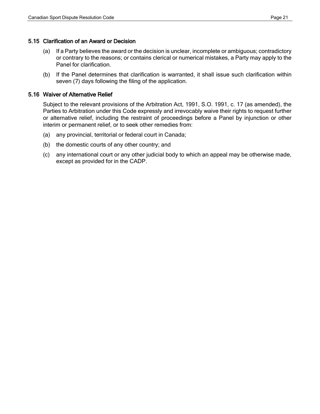#### <span id="page-20-0"></span>5.15 Clarification of an Award or Decision

- (a) If a Party believes the award or the decision is unclear, incomplete or ambiguous; contradictory or contrary to the reasons; or contains clerical or numerical mistakes, a Party may apply to the Panel for clarification.
- (b) If the Panel determines that clarification is warranted, it shall issue such clarification within seven (7) days following the filing of the application.

#### <span id="page-20-1"></span>5.16 Waiver of Alternative Relief

Subject to the relevant provisions of the Arbitration Act, 1991, S.O. 1991, c. 17 (as amended), the Parties to Arbitration under this Code expressly and irrevocably waive their rights to request further or alternative relief, including the restraint of proceedings before a Panel by injunction or other interim or permanent relief, or to seek other remedies from:

- (a) any provincial, territorial or federal court in Canada;
- (b) the domestic courts of any other country; and
- (c) any international court or any other judicial body to which an appeal may be otherwise made, except as provided for in the CADP.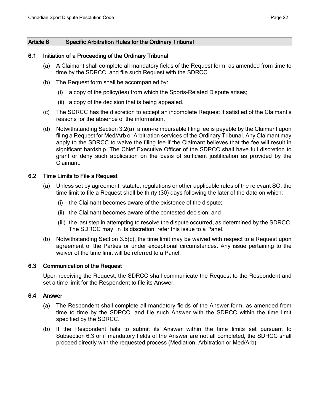## <span id="page-21-0"></span>Article 6 Specific Arbitration Rules for the Ordinary Tribunal

#### <span id="page-21-1"></span>6.1 Initiation of a Proceeding of the Ordinary Tribunal

- (a) A Claimant shall complete all mandatory fields of the Request form, as amended from time to time by the SDRCC, and file such Request with the SDRCC.
- (b) The Request form shall be accompanied by:
	- (i) a copy of the policy(ies) from which the Sports-Related Dispute arises;
	- (ii) a copy of the decision that is being appealed.
- (c) The SDRCC has the discretion to accept an incomplete Request if satisfied of the Claimant's reasons for the absence of the information.
- (d) Notwithstanding Section 3.2(a), a non-reimbursable filing fee is payable by the Claimant upon filing a Request for Med/Arb or Arbitration services of the Ordinary Tribunal. Any Claimant may apply to the SDRCC to waive the filing fee if the Claimant believes that the fee will result in significant hardship. The Chief Executive Officer of the SDRCC shall have full discretion to grant or deny such application on the basis of sufficient justification as provided by the Claimant.

## <span id="page-21-2"></span>6.2 Time Limits to File a Request

- (a) Unless set by agreement, statute, regulations or other applicable rules of the relevant SO, the time limit to file a Request shall be thirty (30) days following the later of the date on which:
	- (i) the Claimant becomes aware of the existence of the dispute;
	- (ii) the Claimant becomes aware of the contested decision; and
	- (iii) the last step in attempting to resolve the dispute occurred, as determined by the SDRCC. The SDRCC may, in its discretion, refer this issue to a Panel.
- (b) Notwithstanding Section 3.5(c), the time limit may be waived with respect to a Request upon agreement of the Parties or under exceptional circumstances. Any issue pertaining to the waiver of the time limit will be referred to a Panel.

#### <span id="page-21-3"></span>6.3 Communication of the Request

Upon receiving the Request, the SDRCC shall communicate the Request to the Respondent and set a time limit for the Respondent to file its Answer.

#### <span id="page-21-4"></span>6.4 Answer

- (a) The Respondent shall complete all mandatory fields of the Answer form, as amended from time to time by the SDRCC, and file such Answer with the SDRCC within the time limit specified by the SDRCC.
- (b) If the Respondent fails to submit its Answer within the time limits set pursuant to Subsection 6.3 or if mandatory fields of the Answer are not all completed, the SDRCC shall proceed directly with the requested process (Mediation, Arbitration or Med/Arb).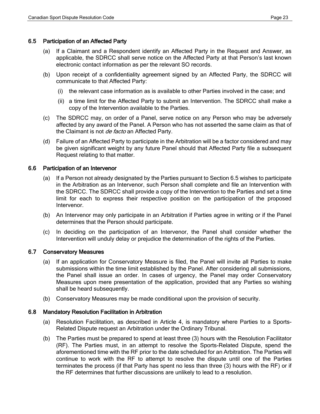## <span id="page-22-0"></span>6.5 Participation of an Affected Party

- (a) If a Claimant and a Respondent identify an Affected Party in the Request and Answer, as applicable, the SDRCC shall serve notice on the Affected Party at that Person's last known electronic contact information as per the relevant SO records.
- (b) Upon receipt of a confidentiality agreement signed by an Affected Party, the SDRCC will communicate to that Affected Party:
	- (i) the relevant case information as is available to other Parties involved in the case; and
	- (ii) a time limit for the Affected Party to submit an Intervention. The SDRCC shall make a copy of the Intervention available to the Parties.
- (c) The SDRCC may, on order of a Panel, serve notice on any Person who may be adversely affected by any award of the Panel. A Person who has not asserted the same claim as that of the Claimant is not *de facto* an Affected Party.
- (d) Failure of an Affected Party to participate in the Arbitration will be a factor considered and may be given significant weight by any future Panel should that Affected Party file a subsequent Request relating to that matter.

## <span id="page-22-1"></span>6.6 Participation of an Intervenor

- (a) If a Person not already designated by the Parties pursuant to Section 6.5 wishes to participate in the Arbitration as an Intervenor, such Person shall complete and file an Intervention with the SDRCC. The SDRCC shall provide a copy of the Intervention to the Parties and set a time limit for each to express their respective position on the participation of the proposed Intervenor.
- (b) An Intervenor may only participate in an Arbitration if Parties agree in writing or if the Panel determines that the Person should participate.
- (c) In deciding on the participation of an Intervenor, the Panel shall consider whether the Intervention will unduly delay or prejudice the determination of the rights of the Parties.

# <span id="page-22-2"></span>6.7 Conservatory Measures

- (a) If an application for Conservatory Measure is filed, the Panel will invite all Parties to make submissions within the time limit established by the Panel. After considering all submissions, the Panel shall issue an order. In cases of urgency, the Panel may order Conservatory Measures upon mere presentation of the application, provided that any Parties so wishing shall be heard subsequently.
- (b) Conservatory Measures may be made conditional upon the provision of security.

## <span id="page-22-3"></span>6.8 Mandatory Resolution Facilitation in Arbitration

- (a) Resolution Facilitation, as described in Article 4, is mandatory where Parties to a Sports-Related Dispute request an Arbitration under the Ordinary Tribunal.
- (b) The Parties must be prepared to spend at least three (3) hours with the Resolution Facilitator (RF). The Parties must, in an attempt to resolve the Sports-Related Dispute, spend the aforementioned time with the RF prior to the date scheduled for an Arbitration. The Parties will continue to work with the RF to attempt to resolve the dispute until one of the Parties terminates the process (if that Party has spent no less than three (3) hours with the RF) or if the RF determines that further discussions are unlikely to lead to a resolution.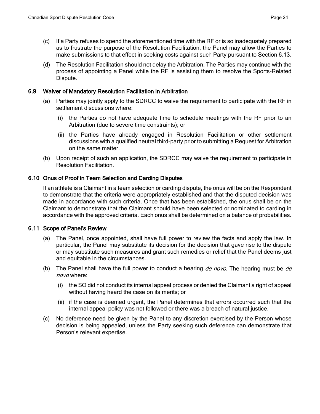- (c) If a Party refuses to spend the aforementioned time with the RF or is so inadequately prepared as to frustrate the purpose of the Resolution Facilitation, the Panel may allow the Parties to make submissions to that effect in seeking costs against such Party pursuant to Section 6.13.
- (d) The Resolution Facilitation should not delay the Arbitration. The Parties may continue with the process of appointing a Panel while the RF is assisting them to resolve the Sports-Related Dispute.

## <span id="page-23-0"></span>6.9 Waiver of Mandatory Resolution Facilitation in Arbitration

- (a) Parties may jointly apply to the SDRCC to waive the requirement to participate with the RF in settlement discussions where:
	- (i) the Parties do not have adequate time to schedule meetings with the RF prior to an Arbitration (due to severe time constraints); or
	- (ii) the Parties have already engaged in Resolution Facilitation or other settlement discussions with a qualified neutral third-party prior to submitting a Request for Arbitration on the same matter.
- (b) Upon receipt of such an application, the SDRCC may waive the requirement to participate in Resolution Facilitation.

## <span id="page-23-1"></span>6.10 Onus of Proof in Team Selection and Carding Disputes

If an athlete is a Claimant in a team selection or carding dispute, the onus will be on the Respondent to demonstrate that the criteria were appropriately established and that the disputed decision was made in accordance with such criteria. Once that has been established, the onus shall be on the Claimant to demonstrate that the Claimant should have been selected or nominated to carding in accordance with the approved criteria. Each onus shall be determined on a balance of probabilities.

## <span id="page-23-2"></span>6.11 Scope of Panel's Review

- (a) The Panel, once appointed, shall have full power to review the facts and apply the law. In particular, the Panel may substitute its decision for the decision that gave rise to the dispute or may substitute such measures and grant such remedies or relief that the Panel deems just and equitable in the circumstances.
- (b) The Panel shall have the full power to conduct a hearing  $de novo$ . The hearing must be  $de$ novo where:
	- (i) the SO did not conduct its internal appeal process or denied the Claimant a right of appeal without having heard the case on its merits; or
	- (ii) if the case is deemed urgent, the Panel determines that errors occurred such that the internal appeal policy was not followed or there was a breach of natural justice.
- <span id="page-23-3"></span>(c) No deference need be given by the Panel to any discretion exercised by the Person whose decision is being appealed, unless the Party seeking such deference can demonstrate that Person's relevant expertise.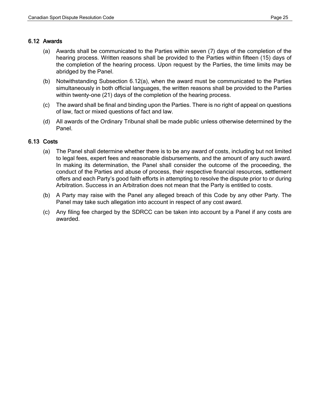## 6.12 Awards

- (a) Awards shall be communicated to the Parties within seven (7) days of the completion of the hearing process. Written reasons shall be provided to the Parties within fifteen (15) days of the completion of the hearing process. Upon request by the Parties, the time limits may be abridged by the Panel.
- (b) Notwithstanding Subsection 6.12(a), when the award must be communicated to the Parties simultaneously in both official languages, the written reasons shall be provided to the Parties within twenty-one (21) days of the completion of the hearing process.
- (c) The award shall be final and binding upon the Parties. There is no right of appeal on questions of law, fact or mixed questions of fact and law.
- (d) All awards of the Ordinary Tribunal shall be made public unless otherwise determined by the Panel.

## <span id="page-24-0"></span>6.13 Costs

- (a) The Panel shall determine whether there is to be any award of costs, including but not limited to legal fees, expert fees and reasonable disbursements, and the amount of any such award. In making its determination, the Panel shall consider the outcome of the proceeding, the conduct of the Parties and abuse of process, their respective financial resources, settlement offers and each Party's good faith efforts in attempting to resolve the dispute prior to or during Arbitration. Success in an Arbitration does not mean that the Party is entitled to costs.
- (b) A Party may raise with the Panel any alleged breach of this Code by any other Party. The Panel may take such allegation into account in respect of any cost award.
- (c) Any filing fee charged by the SDRCC can be taken into account by a Panel if any costs are awarded.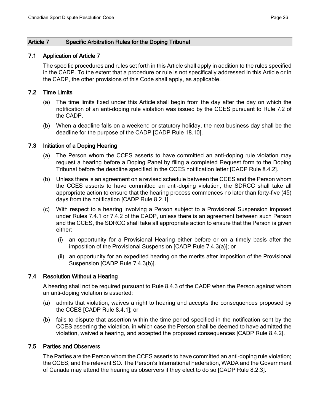## <span id="page-25-0"></span>Article 7 Specific Arbitration Rules for the Doping Tribunal

## <span id="page-25-1"></span>7.1 Application of Article 7

The specific procedures and rules set forth in this Article shall apply in addition to the rules specified in the CADP. To the extent that a procedure or rule is not specifically addressed in this Article or in the CADP, the other provisions of this Code shall apply, as applicable.

## <span id="page-25-2"></span>7.2 Time Limits

- (a) The time limits fixed under this Article shall begin from the day after the day on which the notification of an anti-doping rule violation was issued by the CCES pursuant to Rule 7.2 of the CADP.
- (b) When a deadline falls on a weekend or statutory holiday, the next business day shall be the deadline for the purpose of the CADP [CADP Rule 18.10].

## <span id="page-25-3"></span>7.3 Initiation of a Doping Hearing

- (a) The Person whom the CCES asserts to have committed an anti-doping rule violation may request a hearing before a Doping Panel by filing a completed Request form to the Doping Tribunal before the deadline specified in the CCES notification letter [CADP Rule 8.4.2].
- (b) Unless there is an agreement on a revised schedule between the CCES and the Person whom the CCES asserts to have committed an anti-doping violation, the SDRCC shall take all appropriate action to ensure that the hearing process commences no later than forty-five (45) days from the notification [CADP Rule 8.2.1].
- (c) With respect to a hearing involving a Person subject to a Provisional Suspension imposed under Rules 7.4.1 or 7.4.2 of the CADP, unless there is an agreement between such Person and the CCES, the SDRCC shall take all appropriate action to ensure that the Person is given either:
	- (i) an opportunity for a Provisional Hearing either before or on a timely basis after the imposition of the Provisional Suspension [CADP Rule 7.4.3(a)]; or
	- (ii) an opportunity for an expedited hearing on the merits after imposition of the Provisional Suspension [CADP Rule 7.4.3(b)].

# <span id="page-25-4"></span>7.4 Resolution Without a Hearing

A hearing shall not be required pursuant to Rule 8.4.3 of the CADP when the Person against whom an anti-doping violation is asserted:

- (a) admits that violation, waives a right to hearing and accepts the consequences proposed by the CCES [CADP Rule 8.4.1]; or
- (b) fails to dispute that assertion within the time period specified in the notification sent by the CCES asserting the violation, in which case the Person shall be deemed to have admitted the violation, waived a hearing, and accepted the proposed consequences [CADP Rule 8.4.2].

## <span id="page-25-5"></span>7.5 Parties and Observers

The Parties are the Person whom the CCES asserts to have committed an anti-doping rule violation; the CCES; and the relevant SO. The Person's International Federation, WADA and the Government of Canada may attend the hearing as observers if they elect to do so [CADP Rule 8.2.3].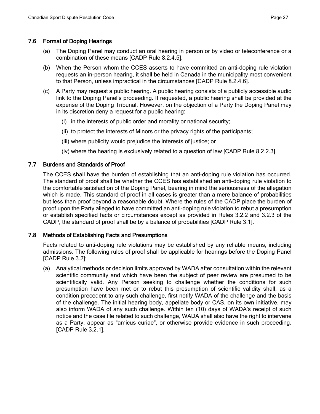## <span id="page-26-0"></span>7.6 Format of Doping Hearings

- (a) The Doping Panel may conduct an oral hearing in person or by video or teleconference or a combination of these means [CADP Rule 8.2.4.5].
- (b) When the Person whom the CCES asserts to have committed an anti-doping rule violation requests an in-person hearing, it shall be held in Canada in the municipality most convenient to that Person, unless impractical in the circumstances [CADP Rule 8.2.4.6].
- (c) A Party may request a public hearing. A public hearing consists of a publicly accessible audio link to the Doping Panel's proceeding. If requested, a public hearing shall be provided at the expense of the Doping Tribunal. However, on the objection of a Party the Doping Panel may in its discretion deny a request for a public hearing:
	- (i) in the interests of public order and morality or national security;
	- (ii) to protect the interests of Minors or the privacy rights of the participants;
	- (iii) where publicity would prejudice the interests of justice; or
	- (iv) where the hearing is exclusively related to a question of law [CADP Rule 8.2.2.3].

## <span id="page-26-1"></span>7.7 Burdens and Standards of Proof

The CCES shall have the burden of establishing that an anti-doping rule violation has occurred. The standard of proof shall be whether the CCES has established an anti-doping rule violation to the comfortable satisfaction of the Doping Panel, bearing in mind the seriousness of the allegation which is made. This standard of proof in all cases is greater than a mere balance of probabilities but less than proof beyond a reasonable doubt. Where the rules of the CADP place the burden of proof upon the Party alleged to have committed an anti-doping rule violation to rebut a presumption or establish specified facts or circumstances except as provided in Rules 3.2.2 and 3.2.3 of the CADP, the standard of proof shall be by a balance of probabilities [CADP Rule 3.1].

## <span id="page-26-2"></span>7.8 Methods of Establishing Facts and Presumptions

Facts related to anti-doping rule violations may be established by any reliable means, including admissions. The following rules of proof shall be applicable for hearings before the Doping Panel [CADP Rule 3.2]:

(a) Analytical methods or decision limits approved by WADA after consultation within the relevant scientific community and which have been the subject of peer review are presumed to be scientifically valid. Any Person seeking to challenge whether the conditions for such presumption have been met or to rebut this presumption of scientific validity shall, as a condition precedent to any such challenge, first notify WADA of the challenge and the basis of the challenge. The initial hearing body, appellate body or CAS, on its own initiative, may also inform WADA of any such challenge. Within ten (10) days of WADA's receipt of such notice and the case file related to such challenge, WADA shall also have the right to intervene as a Party, appear as "amicus curiae", or otherwise provide evidence in such proceeding. [CADP Rule 3.2.1].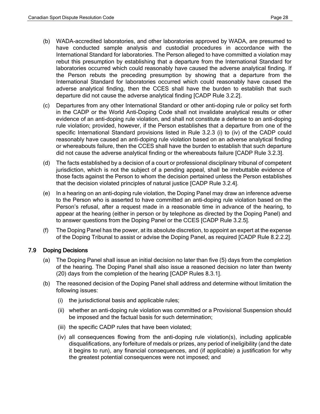- (b) WADA-accredited laboratories, and other laboratories approved by WADA, are presumed to have conducted sample analysis and custodial procedures in accordance with the International Standard for laboratories. The Person alleged to have committed a violation may rebut this presumption by establishing that a departure from the International Standard for laboratories occurred which could reasonably have caused the adverse analytical finding. If the Person rebuts the preceding presumption by showing that a departure from the International Standard for laboratories occurred which could reasonably have caused the adverse analytical finding, then the CCES shall have the burden to establish that such departure did not cause the adverse analytical finding [CADP Rule 3.2.2].
- (c) Departures from any other International Standard or other anti-doping rule or policy set forth in the CADP or the World Anti-Doping Code shall not invalidate analytical results or other evidence of an anti-doping rule violation, and shall not constitute a defense to an anti-doping rule violation; provided, however, if the Person establishes that a departure from one of the specific International Standard provisions listed in Rule 3.2.3 (i) to (iv) of the CADP could reasonably have caused an anti-doping rule violation based on an adverse analytical finding or whereabouts failure, then the CCES shall have the burden to establish that such departure did not cause the adverse analytical finding or the whereabouts failure [CADP Rule 3.2.3].
- (d) The facts established by a decision of a court or professional disciplinary tribunal of competent jurisdiction, which is not the subject of a pending appeal, shall be irrebuttable evidence of those facts against the Person to whom the decision pertained unless the Person establishes that the decision violated principles of natural justice [CADP Rule 3.2.4].
- (e) In a hearing on an anti-doping rule violation, the Doping Panel may draw an inference adverse to the Person who is asserted to have committed an anti-doping rule violation based on the Person's refusal, after a request made in a reasonable time in advance of the hearing, to appear at the hearing (either in person or by telephone as directed by the Doping Panel) and to answer questions from the Doping Panel or the CCES [CADP Rule 3.2.5].
- (f) The Doping Panel has the power, at its absolute discretion, to appoint an expert at the expense of the Doping Tribunal to assist or advise the Doping Panel, as required [CADP Rule 8.2.2.2].

# <span id="page-27-0"></span>7.9 Doping Decisions

- (a) The Doping Panel shall issue an initial decision no later than five (5) days from the completion of the hearing. The Doping Panel shall also issue a reasoned decision no later than twenty (20) days from the completion of the hearing [CADP Rules 8.3.1].
- (b) The reasoned decision of the Doping Panel shall address and determine without limitation the following issues:
	- (i) the jurisdictional basis and applicable rules;
	- (ii) whether an anti-doping rule violation was committed or a Provisional Suspension should be imposed and the factual basis for such determination;
	- (iii) the specific CADP rules that have been violated;
	- (iv) all consequences flowing from the anti-doping rule violation(s), including applicable disqualifications, any forfeiture of medals or prizes, any period of ineligibility (and the date it begins to run), any financial consequences, and (if applicable) a justification for why the greatest potential consequences were not imposed; and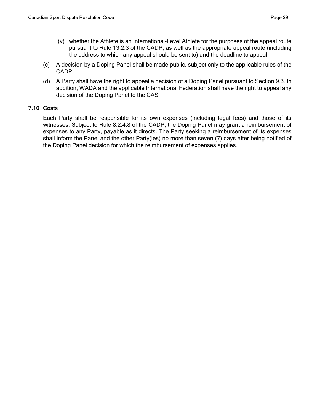- (v) whether the Athlete is an International-Level Athlete for the purposes of the appeal route pursuant to Rule 13.2.3 of the CADP, as well as the appropriate appeal route (including the address to which any appeal should be sent to) and the deadline to appeal.
- (c) A decision by a Doping Panel shall be made public, subject only to the applicable rules of the CADP.
- (d) A Party shall have the right to appeal a decision of a Doping Panel pursuant to Section 9.3. In addition, WADA and the applicable International Federation shall have the right to appeal any decision of the Doping Panel to the CAS.

# <span id="page-28-0"></span>7.10 Costs

Each Party shall be responsible for its own expenses (including legal fees) and those of its witnesses. Subject to Rule 8.2.4.8 of the CADP, the Doping Panel may grant a reimbursement of expenses to any Party, payable as it directs. The Party seeking a reimbursement of its expenses shall inform the Panel and the other Party(ies) no more than seven (7) days after being notified of the Doping Panel decision for which the reimbursement of expenses applies.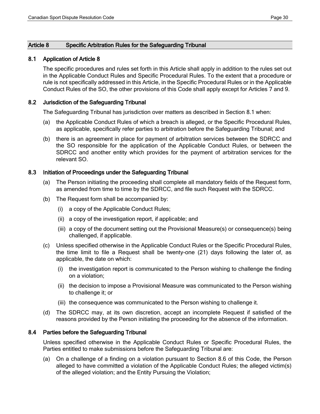## <span id="page-29-0"></span>Article 8 Specific Arbitration Rules for the Safeguarding Tribunal

## <span id="page-29-1"></span>8.1 Application of Article 8

The specific procedures and rules set forth in this Article shall apply in addition to the rules set out in the Applicable Conduct Rules and Specific Procedural Rules. To the extent that a procedure or rule is not specifically addressed in this Article, in the Specific Procedural Rules or in the Applicable Conduct Rules of the SO, the other provisions of this Code shall apply except for Articles 7 and 9.

## <span id="page-29-2"></span>8.2 Jurisdiction of the Safeguarding Tribunal

The Safeguarding Tribunal has jurisdiction over matters as described in Section 8.1 when:

- (a) the Applicable Conduct Rules of which a breach is alleged, or the Specific Procedural Rules, as applicable, specifically refer parties to arbitration before the Safeguarding Tribunal; and
- (b) there is an agreement in place for payment of arbitration services between the SDRCC and the SO responsible for the application of the Applicable Conduct Rules, or between the SDRCC and another entity which provides for the payment of arbitration services for the relevant SO.

#### <span id="page-29-3"></span>8.3 Initiation of Proceedings under the Safeguarding Tribunal

- (a) The Person initiating the proceeding shall complete all mandatory fields of the Request form, as amended from time to time by the SDRCC, and file such Request with the SDRCC.
- (b) The Request form shall be accompanied by:
	- (i) a copy of the Applicable Conduct Rules;
	- (ii) a copy of the investigation report, if applicable; and
	- (iii) a copy of the document setting out the Provisional Measure(s) or consequence(s) being challenged, if applicable.
- (c) Unless specified otherwise in the Applicable Conduct Rules or the Specific Procedural Rules, the time limit to file a Request shall be twenty-one (21) days following the later of, as applicable, the date on which:
	- (i) the investigation report is communicated to the Person wishing to challenge the finding on a violation;
	- (ii) the decision to impose a Provisional Measure was communicated to the Person wishing to challenge it; or
	- (iii) the consequence was communicated to the Person wishing to challenge it.
- (d) The SDRCC may, at its own discretion, accept an incomplete Request if satisfied of the reasons provided by the Person initiating the proceeding for the absence of the information.

## <span id="page-29-4"></span>8.4 Parties before the Safeguarding Tribunal

Unless specified otherwise in the Applicable Conduct Rules or Specific Procedural Rules, the Parties entitled to make submissions before the Safeguarding Tribunal are:

(a) On a challenge of a finding on a violation pursuant to Section 8.6 of this Code, the Person alleged to have committed a violation of the Applicable Conduct Rules; the alleged victim(s) of the alleged violation; and the Entity Pursuing the Violation;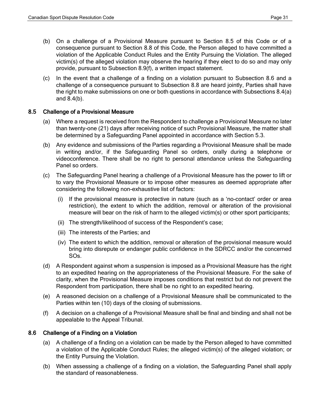- (b) On a challenge of a Provisional Measure pursuant to Section 8.5 of this Code or of a consequence pursuant to Section 8.8 of this Code, the Person alleged to have committed a violation of the Applicable Conduct Rules and the Entity Pursuing the Violation. The alleged victim(s) of the alleged violation may observe the hearing if they elect to do so and may only provide, pursuant to Subsection 8.9(f), a written impact statement.
- (c) In the event that a challenge of a finding on a violation pursuant to Subsection 8.6 and a challenge of a consequence pursuant to Subsection 8.8 are heard jointly, Parties shall have the right to make submissions on one or both questions in accordance with Subsections 8.4(a) and 8.4(b).

## <span id="page-30-0"></span>8.5 Challenge of a Provisional Measure

- (a) Where a request is received from the Respondent to challenge a Provisional Measure no later than twenty-one (21) days after receiving notice of such Provisional Measure, the matter shall be determined by a Safeguarding Panel appointed in accordance with Section 5.3.
- (b) Any evidence and submissions of the Parties regarding a Provisional Measure shall be made in writing and/or, if the Safeguarding Panel so orders, orally during a telephone or videoconference. There shall be no right to personal attendance unless the Safeguarding Panel so orders.
- (c) The Safeguarding Panel hearing a challenge of a Provisional Measure has the power to lift or to vary the Provisional Measure or to impose other measures as deemed appropriate after considering the following non-exhaustive list of factors:
	- (i) If the provisional measure is protective in nature (such as a 'no-contact' order or area restriction), the extent to which the addition, removal or alteration of the provisional measure will bear on the risk of harm to the alleged victim(s) or other sport participants;
	- (ii) The strength/likelihood of success of the Respondent's case;
	- (iii) The interests of the Parties; and
	- (iv) The extent to which the addition, removal or alteration of the provisional measure would bring into disrepute or endanger public confidence in the SDRCC and/or the concerned SOs.
- (d) A Respondent against whom a suspension is imposed as a Provisional Measure has the right to an expedited hearing on the appropriateness of the Provisional Measure. For the sake of clarity, when the Provisional Measure imposes conditions that restrict but do not prevent the Respondent from participation, there shall be no right to an expedited hearing.
- (e) A reasoned decision on a challenge of a Provisional Measure shall be communicated to the Parties within ten (10) days of the closing of submissions.
- (f) A decision on a challenge of a Provisional Measure shall be final and binding and shall not be appealable to the Appeal Tribunal.

# <span id="page-30-1"></span>8.6 Challenge of a Finding on a Violation

- (a) A challenge of a finding on a violation can be made by the Person alleged to have committed a violation of the Applicable Conduct Rules; the alleged victim(s) of the alleged violation; or the Entity Pursuing the Violation.
- (b) When assessing a challenge of a finding on a violation, the Safeguarding Panel shall apply the standard of reasonableness.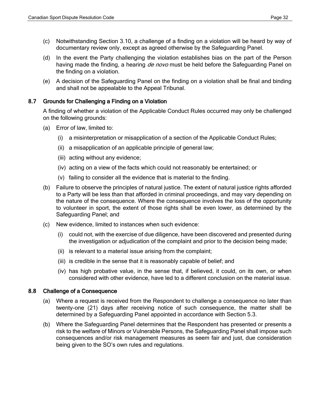- (c) Notwithstanding Section 3.10, a challenge of a finding on a violation will be heard by way of documentary review only, except as agreed otherwise by the Safeguarding Panel.
- (d) In the event the Party challenging the violation establishes bias on the part of the Person having made the finding, a hearing *de novo* must be held before the Safeguarding Panel on the finding on a violation.
- (e) A decision of the Safeguarding Panel on the finding on a violation shall be final and binding and shall not be appealable to the Appeal Tribunal.

# <span id="page-31-0"></span>8.7 Grounds for Challenging a Finding on a Violation

A finding of whether a violation of the Applicable Conduct Rules occurred may only be challenged on the following grounds:

- (a) Error of law, limited to:
	- (i) a misinterpretation or misapplication of a section of the Applicable Conduct Rules;
	- (ii) a misapplication of an applicable principle of general law;
	- (iii) acting without any evidence;
	- (iv) acting on a view of the facts which could not reasonably be entertained; or
	- (v) failing to consider all the evidence that is material to the finding.
- (b) Failure to observe the principles of natural justice. The extent of natural justice rights afforded to a Party will be less than that afforded in criminal proceedings, and may vary depending on the nature of the consequence. Where the consequence involves the loss of the opportunity to volunteer in sport, the extent of those rights shall be even lower, as determined by the Safeguarding Panel; and
- (c) New evidence, limited to instances when such evidence:
	- (i) could not, with the exercise of due diligence, have been discovered and presented during the investigation or adjudication of the complaint and prior to the decision being made;
	- (ii) is relevant to a material issue arising from the complaint;
	- (iii) is credible in the sense that it is reasonably capable of belief; and
	- (iv) has high probative value, in the sense that, if believed, it could, on its own, or when considered with other evidence, have led to a different conclusion on the material issue.

# <span id="page-31-1"></span>8.8 Challenge of a Consequence

- (a) Where a request is received from the Respondent to challenge a consequence no later than twenty-one (21) days after receiving notice of such consequence, the matter shall be determined by a Safeguarding Panel appointed in accordance with Section 5.3.
- <span id="page-31-2"></span>(b) Where the Safeguarding Panel determines that the Respondent has presented or presents a risk to the welfare of Minors or Vulnerable Persons, the Safeguarding Panel shall impose such consequences and/or risk management measures as seem fair and just, due consideration being given to the SO's own rules and regulations.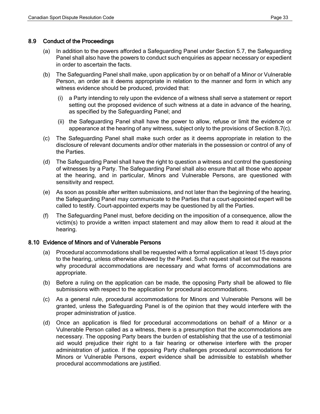## 8.9 Conduct of the Proceedings

- (a) In addition to the powers afforded a Safeguarding Panel under Section 5.7, the Safeguarding Panel shall also have the powers to conduct such enquiries as appear necessary or expedient in order to ascertain the facts.
- (b) The Safeguarding Panel shall make, upon application by or on behalf of a Minor or Vulnerable Person, an order as it deems appropriate in relation to the manner and form in which any witness evidence should be produced, provided that:
	- (i) a Party intending to rely upon the evidence of a witness shall serve a statement or report setting out the proposed evidence of such witness at a date in advance of the hearing, as specified by the Safeguarding Panel; and
	- (ii) the Safeguarding Panel shall have the power to allow, refuse or limit the evidence or appearance at the hearing of any witness, subject only to the provisions of Section 8.7(c).
- (c) The Safeguarding Panel shall make such order as it deems appropriate in relation to the disclosure of relevant documents and/or other materials in the possession or control of any of the Parties.
- (d) The Safeguarding Panel shall have the right to question a witness and control the questioning of witnesses by a Party. The Safeguarding Panel shall also ensure that all those who appear at the hearing, and in particular, Minors and Vulnerable Persons, are questioned with sensitivity and respect.
- (e) As soon as possible after written submissions, and not later than the beginning of the hearing, the Safeguarding Panel may communicate to the Parties that a court-appointed expert will be called to testify. Court-appointed experts may be questioned by all the Parties.
- (f) The Safeguarding Panel must, before deciding on the imposition of a consequence, allow the victim(s) to provide a written impact statement and may allow them to read it aloud at the hearing.

# <span id="page-32-0"></span>8.10 Evidence of Minors and of Vulnerable Persons

- (a) Procedural accommodations shall be requested with a formal application at least 15 days prior to the hearing, unless otherwise allowed by the Panel. Such request shall set out the reasons why procedural accommodations are necessary and what forms of accommodations are appropriate.
- (b) Before a ruling on the application can be made, the opposing Party shall be allowed to file submissions with respect to the application for procedural accommodations.
- (c) As a general rule, procedural accommodations for Minors and Vulnerable Persons will be granted, unless the Safeguarding Panel is of the opinion that they would interfere with the proper administration of justice.
- (d) Once an application is filed for procedural accommodations on behalf of a Minor or a Vulnerable Person called as a witness, there is a presumption that the accommodations are necessary. The opposing Party bears the burden of establishing that the use of a testimonial aid would prejudice their right to a fair hearing or otherwise interfere with the proper administration of justice. If the opposing Party challenges procedural accommodations for Minors or Vulnerable Persons, expert evidence shall be admissible to establish whether procedural accommodations are justified.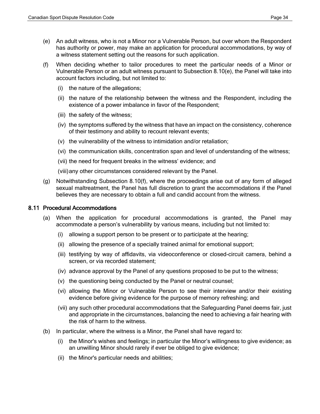- (e) An adult witness, who is not a Minor nor a Vulnerable Person, but over whom the Respondent has authority or power, may make an application for procedural accommodations, by way of a witness statement setting out the reasons for such application.
- (f) When deciding whether to tailor procedures to meet the particular needs of a Minor or Vulnerable Person or an adult witness pursuant to Subsection 8.10(e), the Panel will take into account factors including, but not limited to:
	- (i) the nature of the allegations;
	- (ii) the nature of the relationship between the witness and the Respondent, including the existence of a power imbalance in favor of the Respondent;
	- (iii) the safety of the witness;
	- (iv) the symptoms suffered by the witness that have an impact on the consistency, coherence of their testimony and ability to recount relevant events;
	- (v) the vulnerability of the witness to intimidation and/or retaliation;
	- (vi) the communication skills, concentration span and level of understanding of the witness;
	- (vii) the need for frequent breaks in the witness' evidence; and

(viii)any other circumstances considered relevant by the Panel.

(g) Notwithstanding Subsection 8.10(f), where the proceedings arise out of any form of alleged sexual maltreatment, the Panel has full discretion to grant the accommodations if the Panel believes they are necessary to obtain a full and candid account from the witness.

## <span id="page-33-0"></span>8.11 Procedural Accommodations

- (a) When the application for procedural accommodations is granted, the Panel may accommodate a person's vulnerability by various means, including but not limited to:
	- (i) allowing a support person to be present or to participate at the hearing;
	- (ii) allowing the presence of a specially trained animal for emotional support;
	- (iii) testifying by way of affidavits, via videoconference or closed-circuit camera, behind a screen, or via recorded statement;
	- (iv) advance approval by the Panel of any questions proposed to be put to the witness;
	- (v) the questioning being conducted by the Panel or neutral counsel;
	- (vi) allowing the Minor or Vulnerable Person to see their interview and/or their existing evidence before giving evidence for the purpose of memory refreshing; and
	- (vii) any such other procedural accommodations that the Safeguarding Panel deems fair, just and appropriate in the circumstances, balancing the need to achieving a fair hearing with the risk of harm to the witness.
- (b) In particular, where the witness is a Minor, the Panel shall have regard to:
	- (i) the Minor's wishes and feelings; in particular the Minor's willingness to give evidence; as an unwilling Minor should rarely if ever be obliged to give evidence;
	- (ii) the Minor's particular needs and abilities;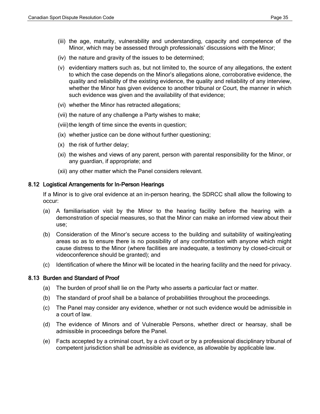- (iii) the age, maturity, vulnerability and understanding, capacity and competence of the Minor, which may be assessed through professionals' discussions with the Minor;
- (iv) the nature and gravity of the issues to be determined;
- (v) evidentiary matters such as, but not limited to, the source of any allegations, the extent to which the case depends on the Minor's allegations alone, corroborative evidence, the quality and reliability of the existing evidence, the quality and reliability of any interview, whether the Minor has given evidence to another tribunal or Court, the manner in which such evidence was given and the availability of that evidence;
- (vi) whether the Minor has retracted allegations;
- (vii) the nature of any challenge a Party wishes to make;
- (viii)the length of time since the events in question;
- (ix) whether justice can be done without further questioning;
- (x) the risk of further delay;
- (xi) the wishes and views of any parent, person with parental responsibility for the Minor, or any guardian, if appropriate; and
- (xii) any other matter which the Panel considers relevant.

## <span id="page-34-0"></span>8.12 Logistical Arrangements for In-Person Hearings

If a Minor is to give oral evidence at an in-person hearing, the SDRCC shall allow the following to occur:

- (a) A familiarisation visit by the Minor to the hearing facility before the hearing with a demonstration of special measures, so that the Minor can make an informed view about their use;
- (b) Consideration of the Minor's secure access to the building and suitability of waiting/eating areas so as to ensure there is no possibility of any confrontation with anyone which might cause distress to the Minor (where facilities are inadequate, a testimony by closed-circuit or videoconference should be granted); and
- (c) Identification of where the Minor will be located in the hearing facility and the need for privacy.

# <span id="page-34-1"></span>8.13 Burden and Standard of Proof

- (a) The burden of proof shall lie on the Party who asserts a particular fact or matter.
- (b) The standard of proof shall be a balance of probabilities throughout the proceedings.
- (c) The Panel may consider any evidence, whether or not such evidence would be admissible in a court of law.
- (d) The evidence of Minors and of Vulnerable Persons, whether direct or hearsay, shall be admissible in proceedings before the Panel.
- <span id="page-34-2"></span>(e) Facts accepted by a criminal court, by a civil court or by a professional disciplinary tribunal of competent jurisdiction shall be admissible as evidence, as allowable by applicable law.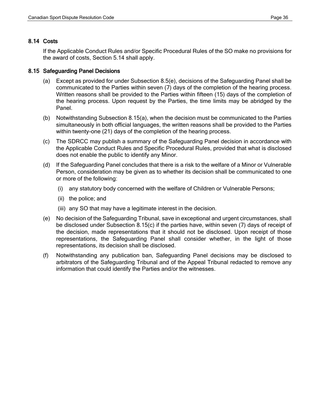## 8.14 Costs

If the Applicable Conduct Rules and/or Specific Procedural Rules of the SO make no provisions for the award of costs, Section 5.14 shall apply.

## <span id="page-35-0"></span>8.15 Safeguarding Panel Decisions

- (a) Except as provided for under Subsection 8.5(e), decisions of the Safeguarding Panel shall be communicated to the Parties within seven (7) days of the completion of the hearing process. Written reasons shall be provided to the Parties within fifteen (15) days of the completion of the hearing process. Upon request by the Parties, the time limits may be abridged by the Panel.
- (b) Notwithstanding Subsection 8.15(a), when the decision must be communicated to the Parties simultaneously in both official languages, the written reasons shall be provided to the Parties within twenty-one (21) days of the completion of the hearing process.
- (c) The SDRCC may publish a summary of the Safeguarding Panel decision in accordance with the Applicable Conduct Rules and Specific Procedural Rules, provided that what is disclosed does not enable the public to identify any Minor.
- (d) If the Safeguarding Panel concludes that there is a risk to the welfare of a Minor or Vulnerable Person, consideration may be given as to whether its decision shall be communicated to one or more of the following:
	- (i) any statutory body concerned with the welfare of Children or Vulnerable Persons;
	- (ii) the police; and
	- (iii) any SO that may have a legitimate interest in the decision.
- (e) No decision of the Safeguarding Tribunal, save in exceptional and urgent circumstances, shall be disclosed under Subsection 8.15(c) if the parties have, within seven (7) days of receipt of the decision, made representations that it should not be disclosed. Upon receipt of those representations, the Safeguarding Panel shall consider whether, in the light of those representations, its decision shall be disclosed.
- (f) Notwithstanding any publication ban, Safeguarding Panel decisions may be disclosed to arbitrators of the Safeguarding Tribunal and of the Appeal Tribunal redacted to remove any information that could identify the Parties and/or the witnesses.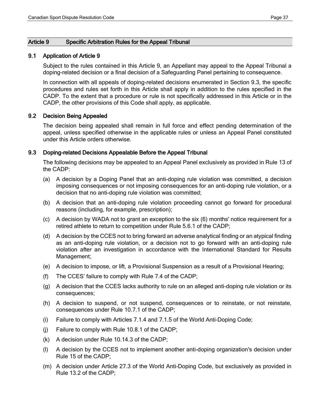## <span id="page-36-0"></span>Article 9 Specific Arbitration Rules for the Appeal Tribunal

## <span id="page-36-1"></span>9.1 Application of Article 9

Subject to the rules contained in this Article 9, an Appellant may appeal to the Appeal Tribunal a doping-related decision or a final decision of a Safeguarding Panel pertaining to consequence.

In connection with all appeals of doping-related decisions enumerated in Section 9.3, the specific procedures and rules set forth in this Article shall apply in addition to the rules specified in the CADP. To the extent that a procedure or rule is not specifically addressed in this Article or in the CADP, the other provisions of this Code shall apply, as applicable.

## <span id="page-36-2"></span>9.2 Decision Being Appealed

The decision being appealed shall remain in full force and effect pending determination of the appeal, unless specified otherwise in the applicable rules or unless an Appeal Panel constituted under this Article orders otherwise.

## <span id="page-36-3"></span>9.3 Doping-related Decisions Appealable Before the Appeal Tribunal

The following decisions may be appealed to an Appeal Panel exclusively as provided in Rule 13 of the CADP:

- (a) A decision by a Doping Panel that an anti-doping rule violation was committed, a decision imposing consequences or not imposing consequences for an anti-doping rule violation, or a decision that no anti-doping rule violation was committed;
- (b) A decision that an anti-doping rule violation proceeding cannot go forward for procedural reasons (including, for example, prescription);
- (c) A decision by WADA not to grant an exception to the six (6) months' notice requirement for a retired athlete to return to competition under Rule 5.6.1 of the CADP;
- (d) A decision by the CCES not to bring forward an adverse analytical finding or an atypical finding as an anti-doping rule violation, or a decision not to go forward with an anti-doping rule violation after an investigation in accordance with the International Standard for Results Management;
- (e) A decision to impose, or lift, a Provisional Suspension as a result of a Provisional Hearing;
- (f) The CCES' failure to comply with Rule 7.4 of the CADP;
- (g) A decision that the CCES lacks authority to rule on an alleged anti-doping rule violation or its consequences;
- (h) A decision to suspend, or not suspend, consequences or to reinstate, or not reinstate, consequences under Rule 10.7.1 of the CADP;
- (i) Failure to comply with Articles 7.1.4 and 7.1.5 of the World Anti-Doping Code;
- (j) Failure to comply with Rule 10.8.1 of the CADP;
- (k) A decision under Rule 10.14.3 of the CADP;
- (l) A decision by the CCES not to implement another anti-doping organization's decision under Rule 15 of the CADP;
- (m) A decision under Article 27.3 of the World Anti-Doping Code, but exclusively as provided in Rule 13.2 of the CADP;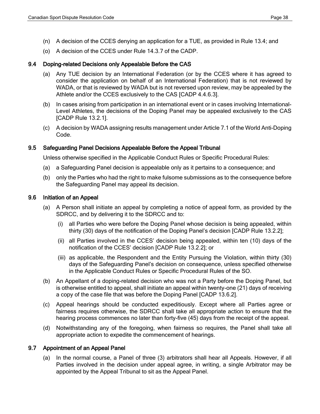- (n) A decision of the CCES denying an application for a TUE, as provided in Rule 13.4; and
- (o) A decision of the CCES under Rule 14.3.7 of the CADP.

# <span id="page-37-0"></span>9.4 Doping-related Decisions only Appealable Before the CAS

- (a) Any TUE decision by an International Federation (or by the CCES where it has agreed to consider the application on behalf of an International Federation) that is not reviewed by WADA, or that is reviewed by WADA but is not reversed upon review, may be appealed by the Athlete and/or the CCES exclusively to the CAS [CADP 4.4.6.3].
- (b) In cases arising from participation in an international event or in cases involving International-Level Athletes, the decisions of the Doping Panel may be appealed exclusively to the CAS [CADP Rule 13.2.1].
- (c) A decision by WADA assigning results management under Article 7.1 of the World Anti-Doping Code.

## <span id="page-37-1"></span>9.5 Safeguarding Panel Decisions Appealable Before the Appeal Tribunal

Unless otherwise specified in the Applicable Conduct Rules or Specific Procedural Rules:

- (a) a Safeguarding Panel decision is appealable only as it pertains to a consequence; and
- (b) only the Parties who had the right to make fulsome submissions as to the consequence before the Safeguarding Panel may appeal its decision.

## <span id="page-37-2"></span>9.6 Initiation of an Appeal

- (a) A Person shall initiate an appeal by completing a notice of appeal form, as provided by the SDRCC, and by delivering it to the SDRCC and to:
	- (i) all Parties who were before the Doping Panel whose decision is being appealed, within thirty (30) days of the notification of the Doping Panel's decision [CADP Rule 13.2.2];
	- (ii) all Parties involved in the CCES' decision being appealed, within ten (10) days of the notification of the CCES' decision [CADP Rule 13.2.2]; or
	- (iii) as applicable, the Respondent and the Entity Pursuing the Violation, within thirty (30) days of the Safeguarding Panel's decision on consequence, unless specified otherwise in the Applicable Conduct Rules or Specific Procedural Rules of the SO.
- (b) An Appellant of a doping-related decision who was not a Party before the Doping Panel, but is otherwise entitled to appeal, shall initiate an appeal within twenty-one (21) days of receiving a copy of the case file that was before the Doping Panel [CADP 13.6.2].
- (c) Appeal hearings should be conducted expeditiously. Except where all Parties agree or fairness requires otherwise, the SDRCC shall take all appropriate action to ensure that the hearing process commences no later than forty-five (45) days from the receipt of the appeal.
- (d) Notwithstanding any of the foregoing, when fairness so requires, the Panel shall take all appropriate action to expedite the commencement of hearings.

# <span id="page-37-3"></span>9.7 Appointment of an Appeal Panel

(a) In the normal course, a Panel of three (3) arbitrators shall hear all Appeals. However, if all Parties involved in the decision under appeal agree, in writing, a single Arbitrator may be appointed by the Appeal Tribunal to sit as the Appeal Panel.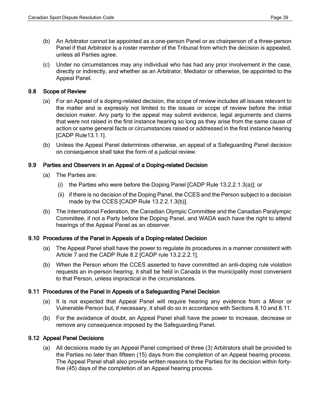- (b) An Arbitrator cannot be appointed as a one-person Panel or as chairperson of a three-person Panel if that Arbitrator is a roster member of the Tribunal from which the decision is appealed, unless all Parties agree.
- (c) Under no circumstances may any individual who has had any prior involvement in the case, directly or indirectly, and whether as an Arbitrator, Mediator or otherwise, be appointed to the Appeal Panel.

# <span id="page-38-0"></span>9.8 Scope of Review

- (a) For an Appeal of a doping-related decision, the scope of review includes all issues relevant to the matter and is expressly not limited to the issues or scope of review before the initial decision maker. Any party to the appeal may submit evidence, legal arguments and claims that were not raised in the first instance hearing so long as they arise from the same cause of action or same general facts or circumstances raised or addressed in the first instance hearing [CADP Rule13.1.1].
- (b) Unless the Appeal Panel determines otherwise, an appeal of a Safeguarding Panel decision on consequence shall take the form of a judicial review.

# <span id="page-38-1"></span>9.9 Parties and Observers in an Appeal of a Doping-related Decision

- (a) The Parties are:
	- (i) the Parties who were before the Doping Panel [CADP Rule 13.2.2.1.3(a)]; or
	- (ii) if there is no decision of the Doping Panel, the CCES and the Person subject to a decision made by the CCES [CADP Rule 13.2.2.1.3(b)].
- (b) The International Federation, the Canadian Olympic Committee and the Canadian Paralympic Committee, if not a Party before the Doping Panel, and WADA each have the right to attend hearings of the Appeal Panel as an observer.

# <span id="page-38-2"></span>9.10 Procedures of the Panel in Appeals of a Doping-related Decision

- (a) The Appeal Panel shall have the power to regulate its procedures in a manner consistent with Article 7 and the CADP Rule 8.2 [CADP rule 13.2.2.2.1].
- (b) When the Person whom the CCES asserted to have committed an anti-doping rule violation requests an in-person hearing, it shall be held in Canada in the municipality most convenient to that Person, unless impractical in the circumstances.

# <span id="page-38-3"></span>9.11 Procedures of the Panel in Appeals of a Safeguarding Panel Decision

- (a) It is not expected that Appeal Panel will require hearing any evidence from a Minor or Vulnerable Person but, if necessary, it shall do so in accordance with Sections 8.10 and 8.11.
- (b) For the avoidance of doubt, an Appeal Panel shall have the power to increase, decrease or remove any consequence imposed by the Safeguarding Panel.

# <span id="page-38-4"></span>9.12 Appeal Panel Decisions

(a) All decisions made by an Appeal Panel comprised of three (3) Arbitrators shall be provided to the Parties no later than fifteen (15) days from the completion of an Appeal hearing process. The Appeal Panel shall also provide written reasons to the Parties for its decision within fortyfive (45) days of the completion of an Appeal hearing process.